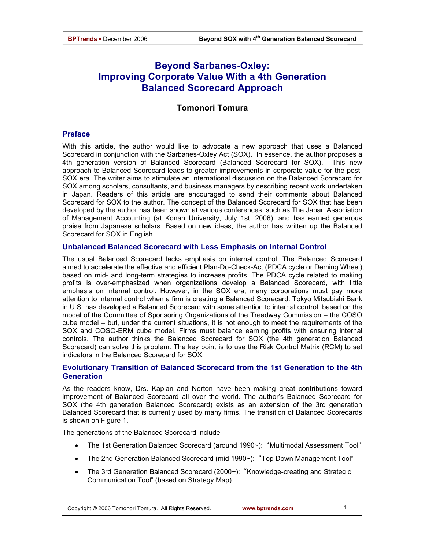# **Beyond Sarbanes-Oxley: Improving Corporate Value With a 4th Generation Balanced Scorecard Approach**

# **Tomonori Tomura**

#### **Preface**

With this article, the author would like to advocate a new approach that uses a Balanced Scorecard in conjunction with the Sarbanes-Oxley Act (SOX). In essence, the author proposes a 4th generation version of Balanced Scorecard (Balanced Scorecard for SOX). This new approach to Balanced Scorecard leads to greater improvements in corporate value for the post-SOX era. The writer aims to stimulate an international discussion on the Balanced Scorecard for SOX among scholars, consultants, and business managers by describing recent work undertaken in Japan. Readers of this article are encouraged to send their comments about Balanced Scorecard for SOX to the author. The concept of the Balanced Scorecard for SOX that has been developed by the author has been shown at various conferences, such as The Japan Association of Management Accounting (at Konan University, July 1st, 2006), and has earned generous praise from Japanese scholars. Based on new ideas, the author has written up the Balanced Scorecard for SOX in English.

#### **Unbalanced Balanced Scorecard with Less Emphasis on Internal Control**

The usual Balanced Scorecard lacks emphasis on internal control. The Balanced Scorecard aimed to accelerate the effective and efficient Plan-Do-Check-Act (PDCA cycle or Deming Wheel), based on mid- and long-term strategies to increase profits. The PDCA cycle related to making profits is over-emphasized when organizations develop a Balanced Scorecard, with little emphasis on internal control. However, in the SOX era, many corporations must pay more attention to internal control when a firm is creating a Balanced Scorecard. Tokyo Mitsubishi Bank in U.S. has developed a Balanced Scorecard with some attention to internal control, based on the model of the Committee of Sponsoring Organizations of the Treadway Commission – the COSO cube model – but, under the current situations, it is not enough to meet the requirements of the SOX and COSO-ERM cube model. Firms must balance earning profits with ensuring internal controls. The author thinks the Balanced Scorecard for SOX (the 4th generation Balanced Scorecard) can solve this problem. The key point is to use the Risk Control Matrix (RCM) to set indicators in the Balanced Scorecard for SOX.

# **Evolutionary Transition of Balanced Scorecard from the 1st Generation to the 4th Generation**

As the readers know, Drs. Kaplan and Norton have been making great contributions toward improvement of Balanced Scorecard all over the world. The author's Balanced Scorecard for SOX (the 4th generation Balanced Scorecard) exists as an extension of the 3rd generation Balanced Scorecard that is currently used by many firms. The transition of Balanced Scorecards is shown on Figure 1.

The generations of the Balanced Scorecard include

- The 1st Generation Balanced Scorecard (around 1990~): "Multimodal Assessment Tool"
- The 2nd Generation Balanced Scorecard (mid 1990~): "Top Down Management Tool"
- The 3rd Generation Balanced Scorecard (2000~): "Knowledge-creating and Strategic Communication Tool" (based on Strategy Map)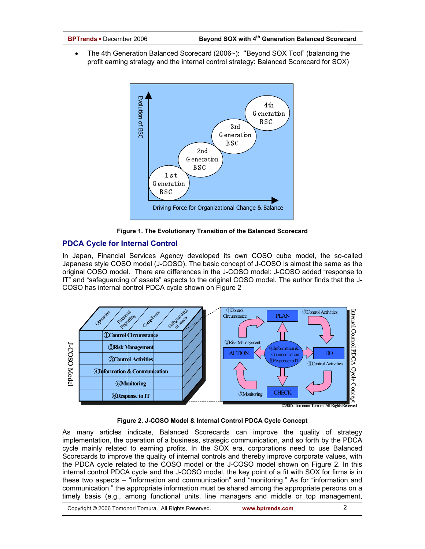The 4th Generation Balanced Scorecard (2006~): "Beyond SOX Tool" (balancing the profit earning strategy and the internal control strategy: Balanced Scorecard for SOX)



**Figure 1. The Evolutionary Transition of the Balanced Scorecard**

# **PDCA Cycle for Internal Control**

In Japan, Financial Services Agency developed its own COSO cube model, the so-called Japanese style COSO model (J-COSO). The basic concept of J-COSO is almost the same as the original COSO model. There are differences in the J-COSO model: J-COSO added "response to IT" and "safeguarding of assets" aspects to the original COSO model. The author finds that the J-COSO has internal control PDCA cycle shown on Figure 2



# **Figure 2. J-COSO Model & Internal Control PDCA Cycle Concept**

As many articles indicate, Balanced Scorecards can improve the quality of strategy implementation, the operation of a business, strategic communication, and so forth by the PDCA cycle mainly related to earning profits. In the SOX era, corporations need to use Balanced Scorecards to improve the quality of internal controls and thereby improve corporate values, with the PDCA cycle related to the COSO model or the J-COSO model shown on Figure 2. In this internal control PDCA cycle and the J-COSO model, the key point of a fit with SOX for firms is in these two aspects – "information and communication" and "monitoring." As for "information and communication," the appropriate information must be shared among the appropriate persons on a timely basis (e.g., among functional units, line managers and middle or top management,

Copyright © 2006 Tomonori Tomura. All Rights Reserved. **www.bptrends.com**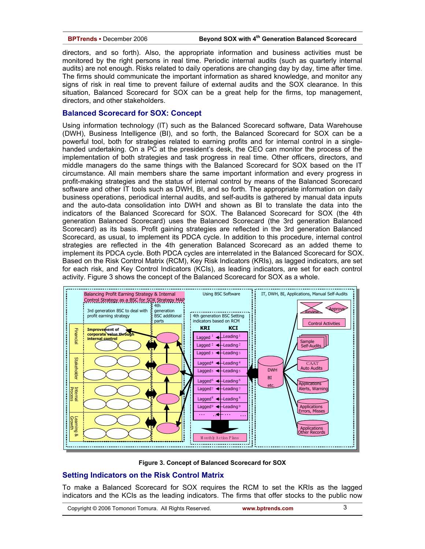directors, and so forth). Also, the appropriate information and business activities must be monitored by the right persons in real time. Periodic internal audits (such as quarterly internal audits) are not enough. Risks related to daily operations are changing day by day, time after time. The firms should communicate the important information as shared knowledge, and monitor any signs of risk in real time to prevent failure of external audits and the SOX clearance. In this situation, Balanced Scorecard for SOX can be a great help for the firms, top management, directors, and other stakeholders.

#### **Balanced Scorecard for SOX: Concept**

Using information technology (IT) such as the Balanced Scorecard software, Data Warehouse (DWH), Business Intelligence (BI), and so forth, the Balanced Scorecard for SOX can be a powerful tool, both for strategies related to earning profits and for internal control in a singlehanded undertaking. On a PC at the president's desk, the CEO can monitor the process of the implementation of both strategies and task progress in real time. Other officers, directors, and middle managers do the same things with the Balanced Scorecard for SOX based on the IT circumstance. All main members share the same important information and every progress in profit-making strategies and the status of internal control by means of the Balanced Scorecard software and other IT tools such as DWH, BI, and so forth. The appropriate information on daily business operations, periodical internal audits, and self-audits is gathered by manual data inputs and the auto-data consolidation into DWH and shown as BI to translate the data into the indicators of the Balanced Scorecard for SOX. The Balanced Scorecard for SOX (the 4th generation Balanced Scorecard) uses the Balanced Scorecard (the 3rd generation Balanced Scorecard) as its basis. Profit gaining strategies are reflected in the 3rd generation Balanced Scorecard, as usual, to implement its PDCA cycle. In addition to this procedure, internal control strategies are reflected in the 4th generation Balanced Scorecard as an added theme to implement its PDCA cycle. Both PDCA cycles are interrelated in the Balanced Scorecard for SOX. Based on the Risk Control Matrix (RCM), Key Risk Indicators (KRIs), as lagged indicators, are set for each risk, and Key Control Indicators (KCIs), as leading indicators, are set for each control activity. Figure 3 shows the concept of the Balanced Scorecard for SOX as a whole.



**Figure 3. Concept of Balanced Scorecard for SOX**

# **Setting Indicators on the Risk Control Matrix**

To make a Balanced Scorecard for SOX requires the RCM to set the KRIs as the lagged indicators and the KCIs as the leading indicators. The firms that offer stocks to the public now

Copyright © 2006 Tomonori Tomura. All Rights Reserved. **www.bptrends.com**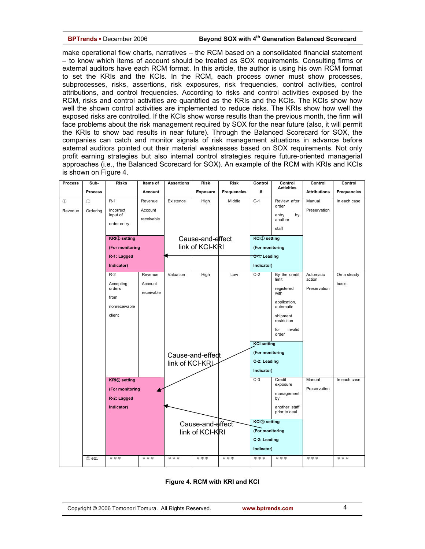#### **BPTrends ▪** December 2006 **Beyond SOX with 4th Generation Balanced Scorecard**

make operational flow charts, narratives – the RCM based on a consolidated financial statement – to know which items of account should be treated as SOX requirements. Consulting firms or external auditors have each RCM format. In this article, the author is using his own RCM format to set the KRIs and the KCIs. In the RCM, each process owner must show processes, subprocesses, risks, assertions, risk exposures, risk frequencies, control activities, control attributions, and control frequencies. According to risks and control activities exposed by the RCM, risks and control activities are quantified as the KRIs and the KCIs. The KCIs show how well the shown control activities are implemented to reduce risks. The KRIs show how well the exposed risks are controlled. If the KCIs show worse results than the previous month, the firm will face problems about the risk management required by SOX for the near future (also, it will permit the KRIs to show bad results in near future). Through the Balanced Scorecard for SOX, the companies can catch and monitor signals of risk management situations in advance before external auditors pointed out their material weaknesses based on SOX requirements. Not only profit earning strategies but also internal control strategies require future-oriented managerial approaches (i.e., the Balanced Scorecard for SOX). An example of the RCM with KRIs and KCIs is shown on Figure 4.

| <b>Process</b> | Sub-           | <b>Risks</b>                    | Items of   | <b>Assertions</b>                   | <b>Risk</b>     | <b>Risk</b>        | Control                         | Control<br><b>Activities</b>   | Control             | Control      |
|----------------|----------------|---------------------------------|------------|-------------------------------------|-----------------|--------------------|---------------------------------|--------------------------------|---------------------|--------------|
|                | <b>Process</b> |                                 | Account    |                                     | <b>Exposure</b> | <b>Frequencies</b> | #                               |                                | <b>Attributions</b> | Frequencies  |
| $\mathcal{L}$  | $\mathcal{L}$  | $R-1$                           | Revenue    | Existence                           | <b>High</b>     | Middle             | $C-1$                           | Review after                   | Manual              | In each case |
| Revenue        | Ordering       | Incorrect                       | Account    |                                     |                 |                    |                                 | order                          | Preservation        |              |
|                |                | input of                        | receivable |                                     |                 |                    |                                 | entry<br>by<br>another         |                     |              |
|                |                | order entry                     |            |                                     |                 |                    |                                 | staff                          |                     |              |
|                |                | <b>KRI</b> <sup>O</sup> setting |            |                                     |                 |                    | <b>KCI</b> <sup>O</sup> setting |                                |                     |              |
|                |                | (For monitoring                 |            | Cause-and-effect<br>link of KCI-KRI |                 |                    | (For monitoring                 |                                |                     |              |
|                |                | R-1: Lagged                     |            |                                     |                 | C-1: Leading       |                                 |                                |                     |              |
|                |                |                                 |            |                                     |                 |                    |                                 |                                |                     |              |
|                |                | Indicator)                      |            |                                     |                 | Indicator)         |                                 |                                |                     |              |
|                |                | $R-2$                           | Revenue    | Valuation                           | High            | Low                | $C-2$                           | By the credit<br>limit         | Automatic<br>action | On a steady  |
|                |                | Accepting<br>orders             | Account    |                                     |                 |                    |                                 | registered                     | Preservation        | basis        |
|                |                | from                            | receivable |                                     |                 |                    |                                 | with                           |                     |              |
|                |                | nonreceivable                   |            |                                     |                 |                    |                                 | application,<br>automatic      |                     |              |
|                |                | client                          |            |                                     |                 |                    |                                 | shipment<br>restriction        |                     |              |
|                |                |                                 |            |                                     |                 |                    |                                 | for<br>invalid<br>order        |                     |              |
|                |                |                                 |            |                                     |                 |                    | <b>KCI</b> setting              |                                |                     |              |
|                |                |                                 |            | Cause-and-effect                    |                 | (For monitoring    |                                 |                                |                     |              |
|                |                |                                 |            | link of KCI-KRL                     |                 |                    | C-2: Leading                    |                                |                     |              |
|                |                |                                 |            |                                     |                 |                    | Indicator)                      |                                |                     |              |
|                |                | KRI2 setting                    |            |                                     |                 |                    | $C-3$                           | Credit                         | Manual              | In each case |
|                |                | (For monitoring                 |            |                                     |                 |                    |                                 | exposure                       | Preservation        |              |
|                |                | R-2: Lagged                     |            |                                     |                 |                    |                                 | management<br>by               |                     |              |
|                |                | Indicator)                      |            |                                     |                 |                    |                                 | another staff<br>prior to deal |                     |              |
|                |                |                                 |            |                                     |                 |                    |                                 |                                |                     |              |
|                |                |                                 |            | Cause-and-effect                    |                 | KCI3 setting       |                                 |                                |                     |              |
|                |                |                                 |            | link of KCI-KRI                     |                 |                    | (For monitoring                 |                                |                     |              |
|                |                |                                 |            |                                     |                 |                    | C-2: Leading                    |                                |                     |              |
|                |                |                                 |            |                                     |                 |                    | Indicator)                      |                                |                     |              |
|                | 2 etc.         | ***                             | ***        | ***                                 | ***             | ***                | ***                             | ***                            | ***                 | ***          |

#### **Figure 4. RCM with KRI and KCI**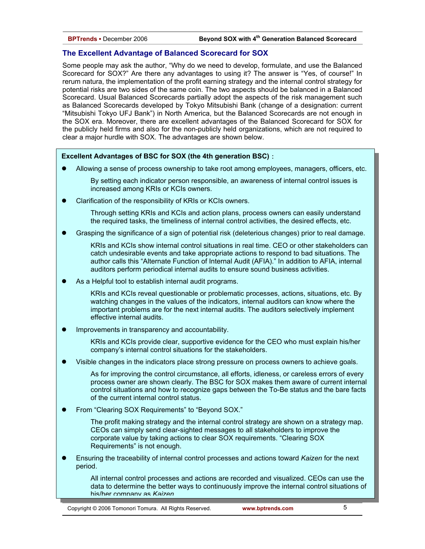# **The Excellent Advantage of Balanced Scorecard for SOX**

Some people may ask the author, "Why do we need to develop, formulate, and use the Balanced Scorecard for SOX?" Are there any advantages to using it? The answer is "Yes, of course!" In rerum natura, the implementation of the profit earning strategy and the internal control strategy for potential risks are two sides of the same coin. The two aspects should be balanced in a Balanced Scorecard. Usual Balanced Scorecards partially adopt the aspects of the risk management such as Balanced Scorecards developed by Tokyo Mitsubishi Bank (change of a designation: current "Mitsubishi Tokyo UFJ Bank") in North America, but the Balanced Scorecards are not enough in the SOX era. Moreover, there are excellent advantages of the Balanced Scorecard for SOX for the publicly held firms and also for the non-publicly held organizations, which are not required to clear a major hurdle with SOX. The advantages are shown below.

#### **Excellent Advantages of BSC for SOX (the 4th generation BSC)**:

Allowing a sense of process ownership to take root among employees, managers, officers, etc.

By setting each indicator person responsible, an awareness of internal control issues is increased among KRIs or KCIs owners.

Clarification of the responsibility of KRIs or KCIs owners.

Through setting KRIs and KCIs and action plans, process owners can easily understand the required tasks, the timeliness of internal control activities, the desired effects, etc.

Grasping the significance of a sign of potential risk (deleterious changes) prior to real damage.

KRIs and KCIs show internal control situations in real time. CEO or other stakeholders can catch undesirable events and take appropriate actions to respond to bad situations. The author calls this "Alternate Function of Internal Audit (AFIA)." In addition to AFIA, internal auditors perform periodical internal audits to ensure sound business activities.

As a Helpful tool to establish internal audit programs.

KRIs and KCIs reveal questionable or problematic processes, actions, situations, etc. By watching changes in the values of the indicators, internal auditors can know where the important problems are for the next internal audits. The auditors selectively implement effective internal audits.

Improvements in transparency and accountability.

KRIs and KCIs provide clear, supportive evidence for the CEO who must explain his/her company's internal control situations for the stakeholders.

Visible changes in the indicators place strong pressure on process owners to achieve goals.

As for improving the control circumstance, all efforts, idleness, or careless errors of every process owner are shown clearly. The BSC for SOX makes them aware of current internal control situations and how to recognize gaps between the To-Be status and the bare facts of the current internal control status.

From "Clearing SOX Requirements" to "Beyond SOX."

The profit making strategy and the internal control strategy are shown on a strategy map. CEOs can simply send clear-sighted messages to all stakeholders to improve the corporate value by taking actions to clear SOX requirements. "Clearing SOX Requirements" is not enough.

z Ensuring the traceability of internal control processes and actions toward *Kaizen* for the next period.

All internal control processes and actions are recorded and visualized. CEOs can use the data to determine the better ways to continuously improve the internal control situations of his/her company as *Kaizen*

Copyright © 2006 Tomonori Tomura. All Rights Reserved. **www.bptrends.com**